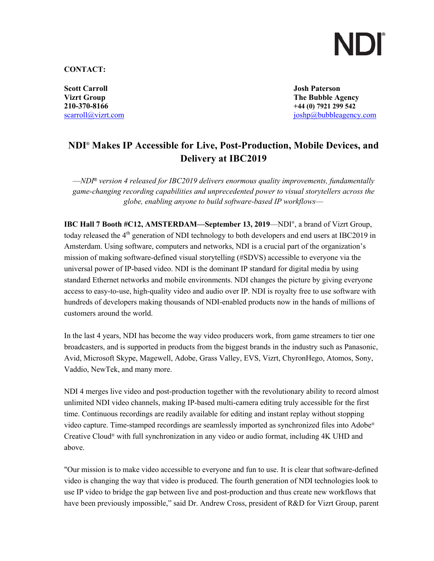### **CONTACT:**

**Scott Carroll Josh Paterson**

**Vizrt Group The Bubble Agency 210-370-8166 +44 (0) 7921 299 542** scarroll@vizrt.com is the interest of the interest of the interest of the interest of the interest of the interest of the interest of the interest of the interest of the interest of the interest of the interest of the inte

## **NDI**® **Makes IP Accessible for Live, Post-Production, Mobile Devices, and Delivery at IBC2019**

*––NDI*® *version 4 released for IBC2019 delivers enormous quality improvements, fundamentally game-changing recording capabilities and unprecedented power to visual storytellers across the globe, enabling anyone to build software-based IP workflows––*

**IBC Hall 7 Booth #C12, AMSTERDAM—September 13, 2019**—NDI®, a brand of Vizrt Group, today released the  $4<sup>th</sup>$  generation of NDI technology to both developers and end users at IBC2019 in Amsterdam. Using software, computers and networks, NDI is a crucial part of the organization's mission of making software-defined visual storytelling (#SDVS) accessible to everyone via the universal power of IP-based video. NDI is the dominant IP standard for digital media by using standard Ethernet networks and mobile environments. NDI changes the picture by giving everyone access to easy-to-use, high-quality video and audio over IP. NDI is royalty free to use software with hundreds of developers making thousands of NDI-enabled products now in the hands of millions of customers around the world.

In the last 4 years, NDI has become the way video producers work, from game streamers to tier one broadcasters, and is supported in products from the biggest brands in the industry such as Panasonic, Avid, Microsoft Skype, Magewell, Adobe, Grass Valley, EVS, Vizrt, ChyronHego, Atomos, Sony, Vaddio, NewTek, and many more.

NDI 4 merges live video and post-production together with the revolutionary ability to record almost unlimited NDI video channels, making IP-based multi-camera editing truly accessible for the first time. Continuous recordings are readily available for editing and instant replay without stopping video capture. Time-stamped recordings are seamlessly imported as synchronized files into Adobe® Creative Cloud® with full synchronization in any video or audio format, including 4K UHD and above.

"Our mission is to make video accessible to everyone and fun to use. It is clear that software-defined video is changing the way that video is produced. The fourth generation of NDI technologies look to use IP video to bridge the gap between live and post-production and thus create new workflows that have been previously impossible," said Dr. Andrew Cross, president of R&D for Vizrt Group, parent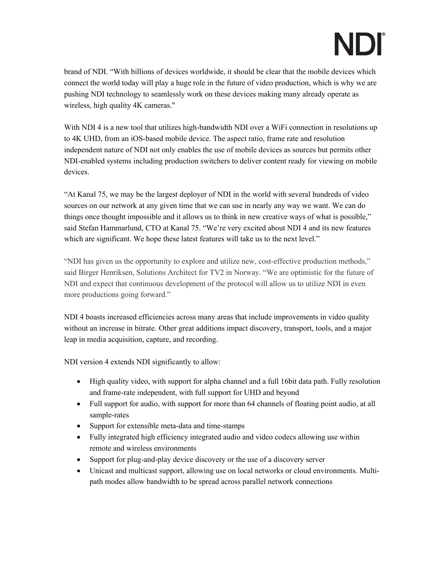brand of NDI. "With billions of devices worldwide, it should be clear that the mobile devices which connect the world today will play a huge role in the future of video production, which is why we are pushing NDI technology to seamlessly work on these devices making many already operate as wireless, high quality 4K cameras."

With NDI 4 is a new tool that utilizes high-bandwidth NDI over a WiFi connection in resolutions up to 4K UHD, from an iOS-based mobile device. The aspect ratio, frame rate and resolution independent nature of NDI not only enables the use of mobile devices as sources but permits other NDI-enabled systems including production switchers to deliver content ready for viewing on mobile devices.

"At Kanal 75, we may be the largest deployer of NDI in the world with several hundreds of video sources on our network at any given time that we can use in nearly any way we want. We can do things once thought impossible and it allows us to think in new creative ways of what is possible," said Stefan Hammarlund, CTO at Kanal 75. "We're very excited about NDI 4 and its new features which are significant. We hope these latest features will take us to the next level."

"NDI has given us the opportunity to explore and utilize new, cost-effective production methods," said Birger Henriksen, Solutions Architect for TV2 in Norway. "We are optimistic for the future of NDI and expect that continuous development of the protocol will allow us to utilize NDI in even more productions going forward."

NDI 4 boasts increased efficiencies across many areas that include improvements in video quality without an increase in bitrate. Other great additions impact discovery, transport, tools, and a major leap in media acquisition, capture, and recording.

NDI version 4 extends NDI significantly to allow:

- High quality video, with support for alpha channel and a full 16bit data path. Fully resolution and frame-rate independent, with full support for UHD and beyond
- Full support for audio, with support for more than 64 channels of floating point audio, at all sample-rates
- Support for extensible meta-data and time-stamps
- Fully integrated high efficiency integrated audio and video codecs allowing use within remote and wireless environments
- Support for plug-and-play device discovery or the use of a discovery server
- Unicast and multicast support, allowing use on local networks or cloud environments. Multipath modes allow bandwidth to be spread across parallel network connections